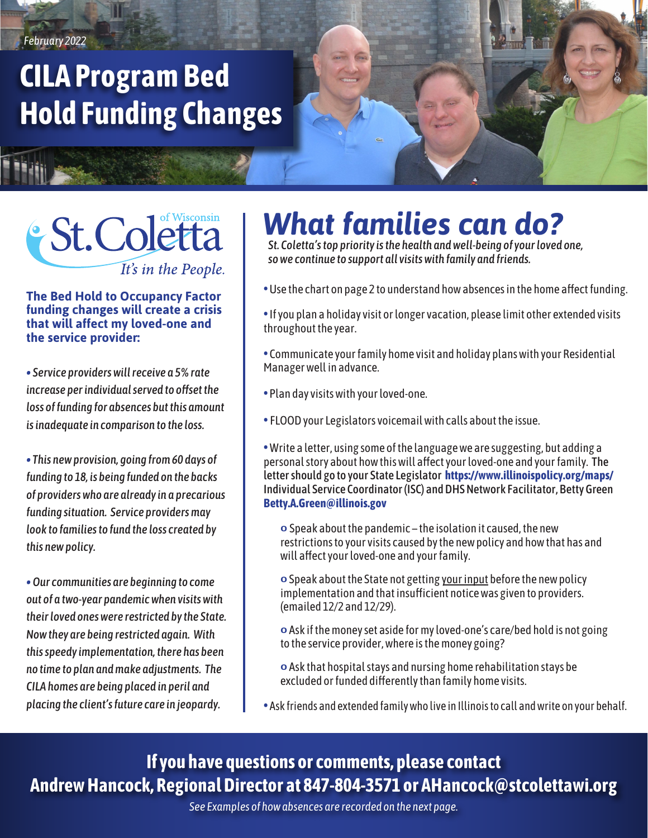*February 2022*

# **CILA Program Bed Hold Funding Changes**

## *St.Coletta* It's in the People.

#### **The Bed Hold to Occupancy Factor funding changes will create a crisis that will affect my loved-one and the service provider:**

*• Service providers will receive a 5% rate increase per individual served to offset the loss of funding for absences but this amount is inadequate in comparison to the loss.*

*• This new provision, going from 60 days of funding to 18, is being funded on the backs of providers who are already in a precarious funding situation. Service providers may look to families to fund the loss created by this new policy.*

*• Our communities are beginning to come out of a two-year pandemic when visits with their loved ones were restricted by the State. Now they are being restricted again. With this speedy implementation, there has been no time to plan and make adjustments. The CILA homes are being placed in peril and placing the client's future care in jeopardy.* 

# *What families can do?*

*St. Coletta's top priority is the health and well-being of your loved one, so we continue to support all visits with family and friends.*

- Use the chart on page 2 to understand how absences in the home affect funding.
- •If you plan a holiday visit or longer vacation, please limit other extended visits throughout the year.
- Communicate your family home visit and holiday plans with your Residential Manager well in advance.
- Plan day visits with your loved-one.
- FLOOD your Legislators voicemail with calls about the issue.
- Write a letter, using some of the language we are suggesting, but adding a personal story about how this will affect your loved-one and your family. The letter should go to your State Legislator **https://www.illinoispolicy.org/maps/** Individual Service Coordinator (ISC) and DHS Network Facilitator, Betty Green **Betty.A.Green@illinois.gov**
	- o Speak about the pandemic the isolation it caused, the new restrictions to your visits caused by the new policy and how that has and will affect your loved-one and your family.
	- o Speak about the State not getting your input before the new policy implementation and that insufficient notice was given to providers. (emailed 12/2 and 12/29).
	- o Ask if the money set aside for my loved-one's care/bed hold is not going to the service provider, where is the money going?
	- o Ask that hospital stays and nursing home rehabilitation stays be excluded or funded differently than family home visits.
- Ask friends and extended family who live in Illinois to call and write on your behalf.

#### **If you have questions or comments, please contact Andrew Hancock, Regional Director at 847-804-3571 or AHancock@stcolettawi.org**

*See Examples of how absences are recorded on the next page.*